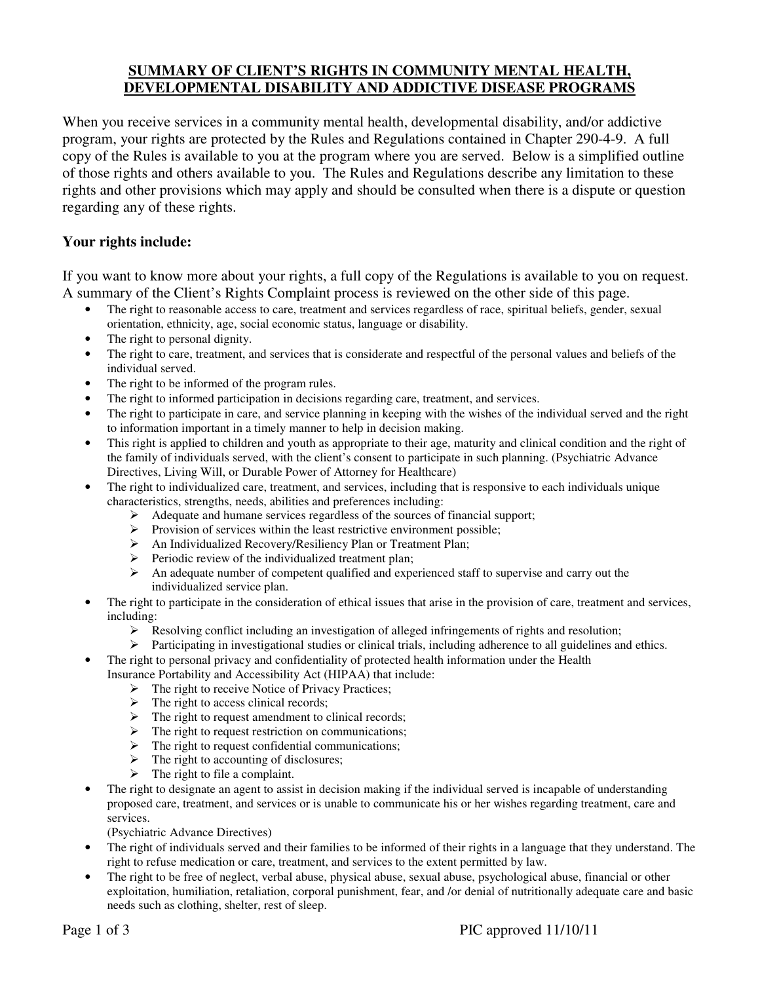### **SUMMARY OF CLIENT'S RIGHTS IN COMMUNITY MENTAL HEALTH, DEVELOPMENTAL DISABILITY AND ADDICTIVE DISEASE PROGRAMS**

When you receive services in a community mental health, developmental disability, and/or addictive program, your rights are protected by the Rules and Regulations contained in Chapter 290-4-9. A full copy of the Rules is available to you at the program where you are served. Below is a simplified outline of those rights and others available to you. The Rules and Regulations describe any limitation to these rights and other provisions which may apply and should be consulted when there is a dispute or question regarding any of these rights.

### **Your rights include:**

If you want to know more about your rights, a full copy of the Regulations is available to you on request. A summary of the Client's Rights Complaint process is reviewed on the other side of this page.

- The right to reasonable access to care, treatment and services regardless of race, spiritual beliefs, gender, sexual orientation, ethnicity, age, social economic status, language or disability.
- The right to personal dignity.
- The right to care, treatment, and services that is considerate and respectful of the personal values and beliefs of the individual served.
- The right to be informed of the program rules.
- The right to informed participation in decisions regarding care, treatment, and services.
- The right to participate in care, and service planning in keeping with the wishes of the individual served and the right to information important in a timely manner to help in decision making.
- This right is applied to children and youth as appropriate to their age, maturity and clinical condition and the right of the family of individuals served, with the client's consent to participate in such planning. (Psychiatric Advance Directives, Living Will, or Durable Power of Attorney for Healthcare)
- The right to individualized care, treatment, and services, including that is responsive to each individuals unique characteristics, strengths, needs, abilities and preferences including:
	- Adequate and humane services regardless of the sources of financial support;
	- $\triangleright$  Provision of services within the least restrictive environment possible;
	- An Individualized Recovery/Resiliency Plan or Treatment Plan;
	- $\triangleright$  Periodic review of the individualized treatment plan;
	- $\triangleright$  An adequate number of competent qualified and experienced staff to supervise and carry out the individualized service plan.
- The right to participate in the consideration of ethical issues that arise in the provision of care, treatment and services, including:
	- $\triangleright$  Resolving conflict including an investigation of alleged infringements of rights and resolution;
	- $\triangleright$  Participating in investigational studies or clinical trials, including adherence to all guidelines and ethics.
- The right to personal privacy and confidentiality of protected health information under the Health
	- Insurance Portability and Accessibility Act (HIPAA) that include:
		- > The right to receive Notice of Privacy Practices;
		- $\triangleright$  The right to access clinical records;
		- $\triangleright$  The right to request amendment to clinical records;
		- $\triangleright$  The right to request restriction on communications;
		- $\triangleright$  The right to request confidential communications;
		- $\triangleright$  The right to accounting of disclosures;
		- $\triangleright$  The right to file a complaint.
- The right to designate an agent to assist in decision making if the individual served is incapable of understanding proposed care, treatment, and services or is unable to communicate his or her wishes regarding treatment, care and services.
	- (Psychiatric Advance Directives)
- The right of individuals served and their families to be informed of their rights in a language that they understand. The right to refuse medication or care, treatment, and services to the extent permitted by law.
- The right to be free of neglect, verbal abuse, physical abuse, sexual abuse, psychological abuse, financial or other exploitation, humiliation, retaliation, corporal punishment, fear, and /or denial of nutritionally adequate care and basic needs such as clothing, shelter, rest of sleep.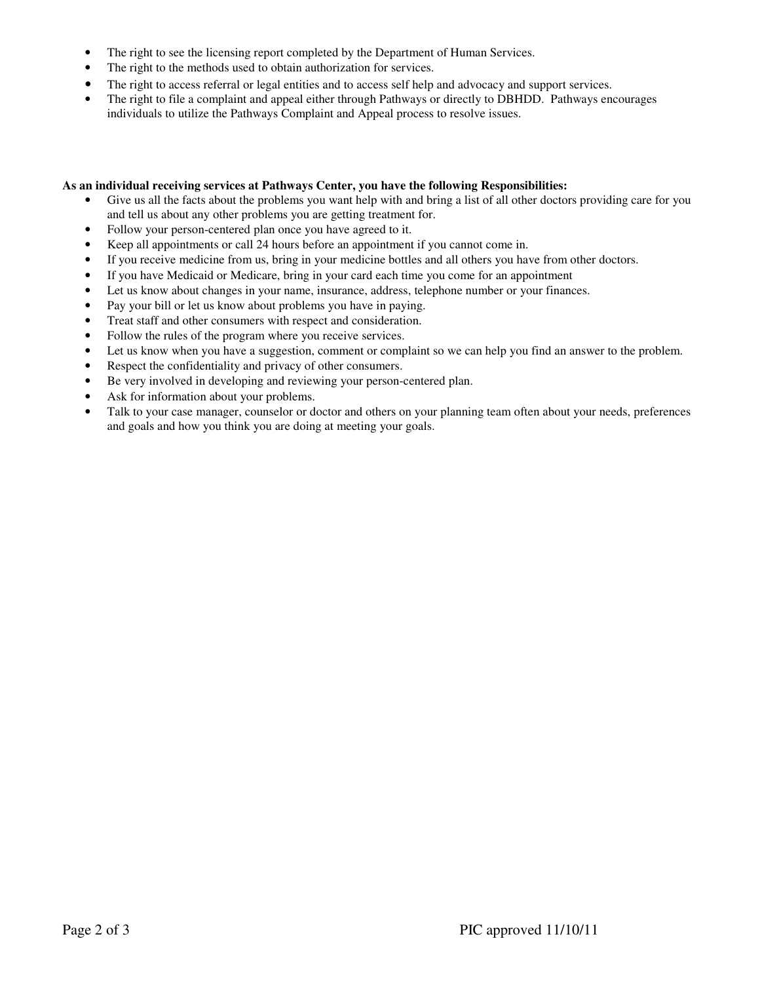- The right to see the licensing report completed by the Department of Human Services.
- The right to the methods used to obtain authorization for services.
- The right to access referral or legal entities and to access self help and advocacy and support services.
- The right to file a complaint and appeal either through Pathways or directly to DBHDD. Pathways encourages individuals to utilize the Pathways Complaint and Appeal process to resolve issues.

#### **As an individual receiving services at Pathways Center, you have the following Responsibilities:**

- Give us all the facts about the problems you want help with and bring a list of all other doctors providing care for you and tell us about any other problems you are getting treatment for.
- Follow your person-centered plan once you have agreed to it.
- Keep all appointments or call 24 hours before an appointment if you cannot come in.
- If you receive medicine from us, bring in your medicine bottles and all others you have from other doctors.
- If you have Medicaid or Medicare, bring in your card each time you come for an appointment
- Let us know about changes in your name, insurance, address, telephone number or your finances.
- Pay your bill or let us know about problems you have in paying.
- Treat staff and other consumers with respect and consideration.
- Follow the rules of the program where you receive services.
- Let us know when you have a suggestion, comment or complaint so we can help you find an answer to the problem.
- Respect the confidentiality and privacy of other consumers.
- Be very involved in developing and reviewing your person-centered plan.
- Ask for information about your problems.
- Talk to your case manager, counselor or doctor and others on your planning team often about your needs, preferences and goals and how you think you are doing at meeting your goals.